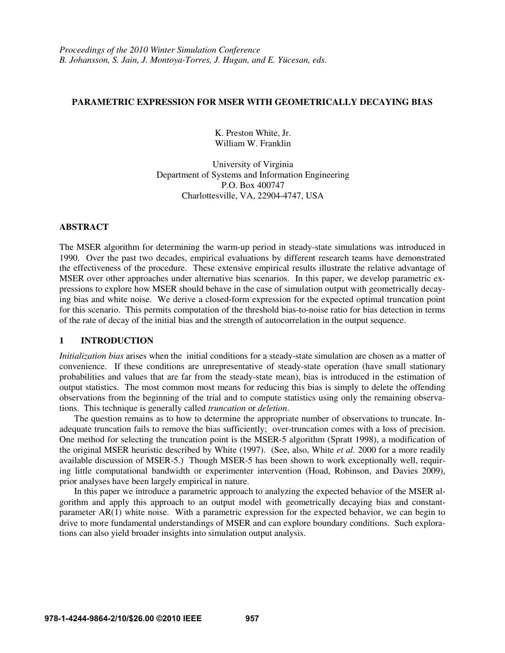# **PARAMETRIC EXPRESSION FOR MSER WITH GEOMETRICALLY DECAYING BIAS**

K. Preston White, Jr. William W. Franklin

University of Virginia Department of Systems and Information Engineering P.O. Box 400747 Charlottesville, VA, 22904-4747, USA

# **ABSTRACT**

The MSER algorithm for determining the warm-up period in steady-state simulations was introduced in 1990. Over the past two decades, empirical evaluations by different research teams have demonstrated the effectiveness of the procedure. These extensive empirical results illustrate the relative advantage of MSER over other approaches under alternative bias scenarios. In this paper, we develop parametric expressions to explore how MSER should behave in the case of simulation output with geometrically decaying bias and white noise. We derive a closed-form expression for the expected optimal truncation point for this scenario. This permits computation of the threshold bias-to-noise ratio for bias detection in terms of the rate of decay of the initial bias and the strength of autocorrelation in the output sequence.

# **1 INTRODUCTION**

*Initialization bias* arises when the initial conditions for a steady-state simulation are chosen as a matter of convenience. If these conditions are unrepresentative of steady-state operation (have small stationary probabilities and values that are far from the steady-state mean), bias is introduced in the estimation of output statistics. The most common most means for reducing this bias is simply to delete the offending observations from the beginning of the trial and to compute statistics using only the remaining observations. This technique is generally called *truncation* or *deletion*.

The question remains as to how to determine the appropriate number of observations to truncate. Inadequate truncation fails to remove the bias sufficiently; over-truncation comes with a loss of precision. One method for selecting the truncation point is the MSER-5 algorithm (Spratt 1998), a modification of the original MSER heuristic described by White (1997). (See, also, White *et al.* 2000 for a more readily available discussion of MSER-5.) Though MSER-5 has been shown to work exceptionally well, requiring little computational bandwidth or experimenter intervention (Hoad, Robinson, and Davies 2009), prior analyses have been largely empirical in nature.

In this paper we introduce a parametric approach to analyzing the expected behavior of the MSER algorithm and apply this approach to an output model with geometrically decaying bias and constantparameter AR(1) white noise. With a parametric expression for the expected behavior, we can begin to drive to more fundamental understandings of MSER and can explore boundary conditions. Such explorations can also yield broader insights into simulation output analysis.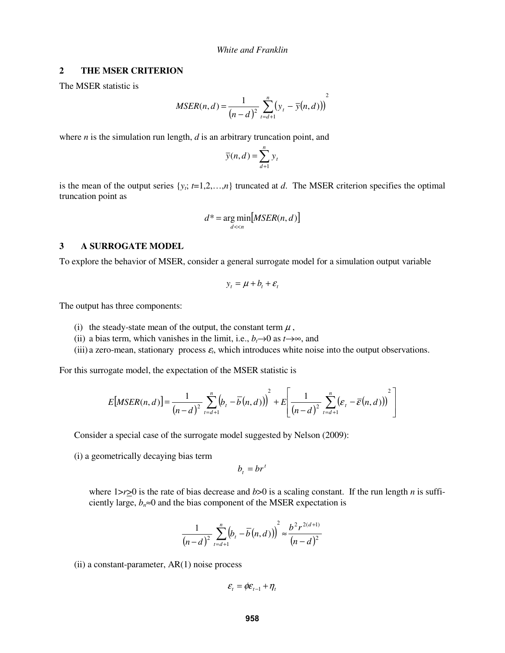#### **2 THE MSER CRITERION**

The MSER statistic is

$$
MSER(n,d) = \frac{1}{(n-d)^2} \sum_{t=d+1}^{n} (y_t - \overline{y}(n,d))^{2}
$$

where *n* is the simulation run length, *d* is an arbitrary truncation point, and

$$
\overline{y}(n,d) = \sum_{d=1}^{n} y_t
$$

is the mean of the output series  $\{y_i; t=1,2,...,n\}$  truncated at *d*. The MSER criterion specifies the optimal truncation point as

$$
d^* = \underset{d << n}{\arg\min} \big[ MSER(n, d) \big]
$$

 $\mathbf{r}$ 

### **3 A SURROGATE MODEL**

To explore the behavior of MSER, consider a general surrogate model for a simulation output variable

$$
y_t = \mu + b_t + \varepsilon_t
$$

The output has three components:

- (i) the steady-state mean of the output, the constant term  $\mu$ ,
- (ii) a bias term, which vanishes in the limit, i.e.,  $b_t \rightarrow 0$  as  $t \rightarrow \infty$ , and

(iii) a zero-mean, stationary process  $\varepsilon$ , which introduces white noise into the output observations.

For this surrogate model, the expectation of the MSER statistic is

$$
E[MSER(n,d)] = \frac{1}{(n-d)^2} \sum_{t=d+1}^{n} (b_t - \overline{b}(n,d))^{2} + E\left[\frac{1}{(n-d)^2} \sum_{t=d+1}^{n} (\varepsilon_t - \overline{\varepsilon}(n,d))^{2}\right]
$$

Consider a special case of the surrogate model suggested by Nelson (2009):

(i) a geometrically decaying bias term

$$
b_t = br^t
$$

where  $1 > r \ge 0$  is the rate of bias decrease and  $b > 0$  is a scaling constant. If the run length *n* is sufficiently large,  $b_n \approx 0$  and the bias component of the MSER expectation is

$$
\frac{1}{(n-d)^2} \sum_{t=d+1}^{n} (b_t - \overline{b}(n,d)) \bigg)^2 \approx \frac{b^2 r^{2(d+1)}}{(n-d)^2}
$$

 $(ii)$  a constant-parameter,  $AR(1)$  noise process

$$
\mathcal{E}_t = \phi \mathcal{E}_{t-1} + \eta_t
$$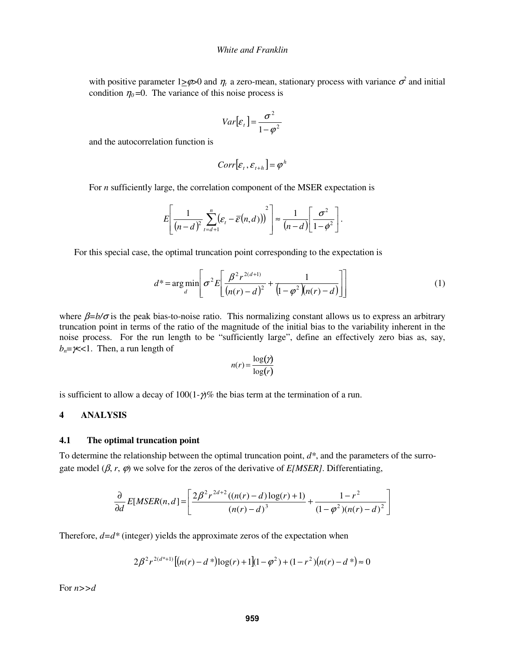with positive parameter  $1 \ge \varphi > 0$  and  $\eta_t$  a zero-mean, stationary process with variance  $\sigma^2$  and initial condition  $\eta_0 = 0$ . The variance of this noise process is

$$
Var[\varepsilon_{t}] = \frac{\sigma^{2}}{1 - \varphi^{2}}
$$

and the autocorrelation function is

$$
Corr[\varepsilon_{t}, \varepsilon_{t+h}] = \varphi^{h}
$$

For *n* sufficiently large, the correlation component of the MSER expectation is

$$
E\left[\frac{1}{(n-d)^2}\sum_{t=d+1}^n(\varepsilon_t-\overline{\varepsilon}(n,d)))^2\right]\approx\frac{1}{(n-d)\left[\frac{\sigma^2}{1-\phi^2}\right]}.
$$

For this special case, the optimal truncation point corresponding to the expectation is

$$
d^* = \underset{d}{\arg\min} \left[ \sigma^2 E \left[ \frac{\beta^2 r^{2(d+1)}}{(n(r) - d)^2} + \frac{1}{(1 - \varphi^2)(n(r) - d)} \right] \right]
$$
(1)

where  $\beta = b/\sigma$  is the peak bias-to-noise ratio. This normalizing constant allows us to express an arbitrary truncation point in terms of the ratio of the magnitude of the initial bias to the variability inherent in the noise process. For the run length to be "sufficiently large", define an effectively zero bias as, say,  $b_n = \infty$ <1. Then, a run length of

$$
n(r) = \frac{\log(\gamma)}{\log(r)}
$$

is sufficient to allow a decay of  $100(1-\gamma)\%$  the bias term at the termination of a run.

## **4 ANALYSIS**

#### **4.1 The optimal truncation point**

To determine the relationship between the optimal truncation point, *d\**, and the parameters of the surrogate model  $(\beta, r, \phi)$  we solve for the zeros of the derivative of *E[MSER]*. Differentiating,

$$
\frac{\partial}{\partial d} E[MSER(n, d)] = \left[ \frac{2\beta^2 r^{2d+2} ((n(r) - d) \log(r) + 1)}{(n(r) - d)^3} + \frac{1 - r^2}{(1 - \varphi^2)(n(r) - d)^2} \right]
$$

Therefore,  $d=d^*$  (integer) yields the approximate zeros of the expectation when

$$
2\beta^2 r^{2(d^*+1)}\left[(n(r)-d^*)\log(r)+1\right](1-\varphi^2)+(1-r^2)(n(r)-d^*)\approx 0
$$

For *n>>d*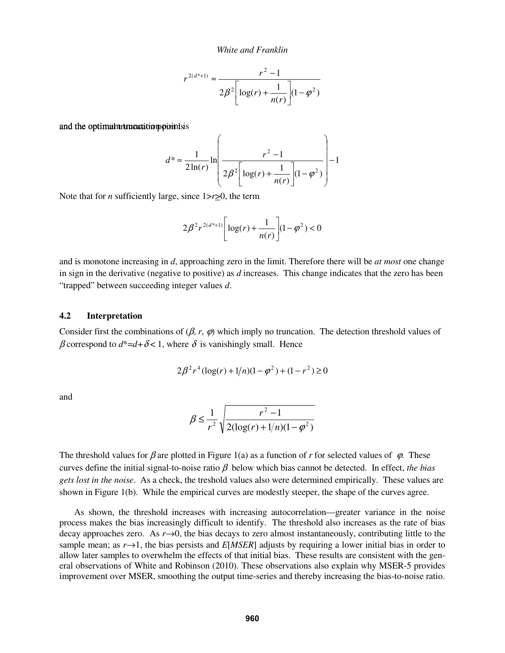$$
r^{2(d^{*}+1)} \approx \frac{r^{2}-1}{2\beta^{2} \left[\log(r) + \frac{1}{n(r)}\right](1-\varphi^{2})}
$$

and the optimum truncation point is is

$$
d^* \approx \frac{1}{2\ln(r)} \ln \left( \frac{r^2 - 1}{2\beta^2 \left[ \log(r) + \frac{1}{n(r)} \right] (1 - \varphi^2)} \right) - 1
$$

Note that for *n* sufficiently large, since 1>*r*>0, the term

$$
2\beta^2 r^{2(d^*+1)} \left[ \log(r) + \frac{1}{n(r)} \right] (1 - \varphi^2) < 0
$$

and is monotone increasing in *d*, approaching zero in the limit. Therefore there will be *at most* one change in sign in the derivative (negative to positive) as *d* increases. This change indicates that the zero has been "trapped" between succeeding integer values *d*.

#### **4.2 Interpretation**

Consider first the combinations of  $(\beta, r, \varphi)$  which imply no truncation. The detection threshold values of  $β$  correspond to  $d^*=d+δ < 1$ , where δ is vanishingly small. Hence

$$
2\beta^{2}r^{4}(\log(r) + 1/n)(1 - \varphi^{2}) + (1 - r^{2}) \ge 0
$$

and

$$
\beta \le \frac{1}{r^2} \sqrt{\frac{r^2 - 1}{2(\log(r) + 1/n)(1 - \varphi^2)}}
$$

The threshold values for  $\beta$  are plotted in Figure 1(a) as a function of *r* for selected values of  $\varphi$ . These curves define the initial signal-to-noise ratio β below which bias cannot be detected. In effect, *the bias gets lost in the noise*. As a check, the treshold values also were determined empirically. These values are shown in Figure 1(b). While the empirical curves are modestly steeper, the shape of the curves agree.

As shown, the threshold increases with increasing autocorrelation—greater variance in the noise process makes the bias increasingly difficult to identify. The threshold also increases as the rate of bias decay approaches zero. As  $r \rightarrow 0$ , the bias decays to zero almost instantaneously, contributing little to the sample mean; as  $r \rightarrow 1$ , the bias persists and  $E[MSER]$  adjusts by requiring a lower initial bias in order to allow later samples to overwhelm the effects of that initial bias. These results are consistent with the general observations of White and Robinson (2010). These observations also explain why MSER-5 provides improvement over MSER, smoothing the output time-series and thereby increasing the bias-to-noise ratio.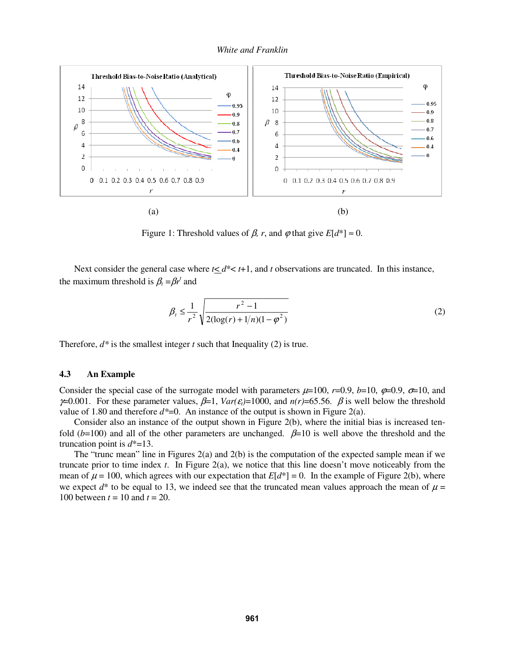

Figure 1: Threshold values of  $\beta$ , *r*, and  $\varphi$  that give  $E[d^*] \approx 0$ .

Next consider the general case where  $t < d^* < t+1$ , and *t* observations are truncated. In this instance, the maximum threshold is  $\beta_t = \beta r^t$  and

$$
\beta_t \le \frac{1}{r^2} \sqrt{\frac{r^2 - 1}{2(\log(r) + 1/n)(1 - \varphi^2)}}
$$
\n(2)

Therefore, *d\** is the smallest integer *t* such that Inequality (2) is true.

### **4.3 An Example**

Consider the special case of the surrogate model with parameters  $\mu=100$ ,  $r=0.9$ ,  $b=10$ ,  $\varphi=0.9$ ,  $\sigma=10$ , and  $\neq 0.001$ . For these parameter values,  $\beta=1$ ,  $Var(\epsilon_i)=1000$ , and  $n(r)=65.56$ .  $\beta$  is well below the threshold value of 1.80 and therefore *d\**=0. An instance of the output is shown in Figure 2(a).

Consider also an instance of the output shown in Figure 2(b), where the initial bias is increased tenfold ( $b=100$ ) and all of the other parameters are unchanged.  $\beta=10$  is well above the threshold and the truncation point is *d*\*=13.

The "trunc mean" line in Figures 2(a) and 2(b) is the computation of the expected sample mean if we truncate prior to time index *t*. In Figure 2(a), we notice that this line doesn't move noticeably from the mean of  $\mu$  = 100, which agrees with our expectation that  $E[d^*]=0$ . In the example of Figure 2(b), where we expect  $d^*$  to be equal to 13, we indeed see that the truncated mean values approach the mean of  $\mu$  = 100 between  $t = 10$  and  $t = 20$ .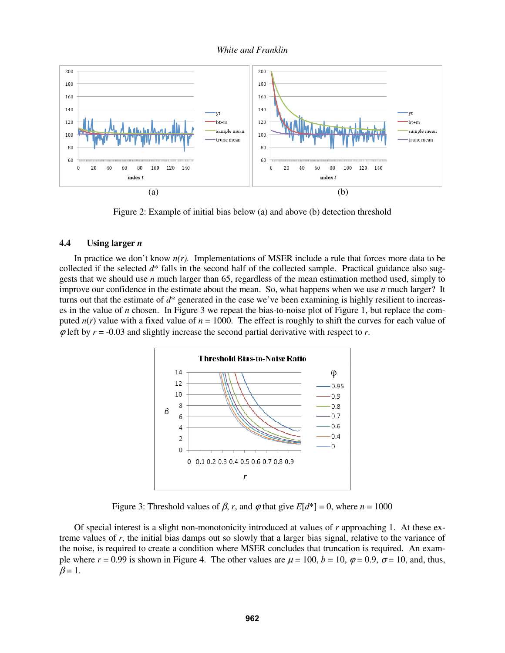

Figure 2: Example of initial bias below (a) and above (b) detection threshold

### **4.4 Using larger** *n*

In practice we don't know  $n(r)$ . Implementations of MSER include a rule that forces more data to be collected if the selected *d*\* falls in the second half of the collected sample. Practical guidance also suggests that we should use *n* much larger than 65, regardless of the mean estimation method used, simply to improve our confidence in the estimate about the mean. So, what happens when we use *n* much larger? It turns out that the estimate of *d*\* generated in the case we've been examining is highly resilient to increases in the value of *n* chosen. In Figure 3 we repeat the bias-to-noise plot of Figure 1, but replace the computed  $n(r)$  value with a fixed value of  $n = 1000$ . The effect is roughly to shift the curves for each value of  $\varphi$  left by  $r = -0.03$  and slightly increase the second partial derivative with respect to r.



Figure 3: Threshold values of  $\beta$ , *r*, and  $\varphi$  that give  $E[d^*]=0$ , where  $n = 1000$ 

Of special interest is a slight non-monotonicity introduced at values of *r* approaching 1. At these extreme values of *r*, the initial bias damps out so slowly that a larger bias signal, relative to the variance of the noise, is required to create a condition where MSER concludes that truncation is required. An example where  $r = 0.99$  is shown in Figure 4. The other values are  $\mu = 100$ ,  $b = 10$ ,  $\varphi = 0.9$ ,  $\sigma = 10$ , and, thus,  $\beta$  = 1.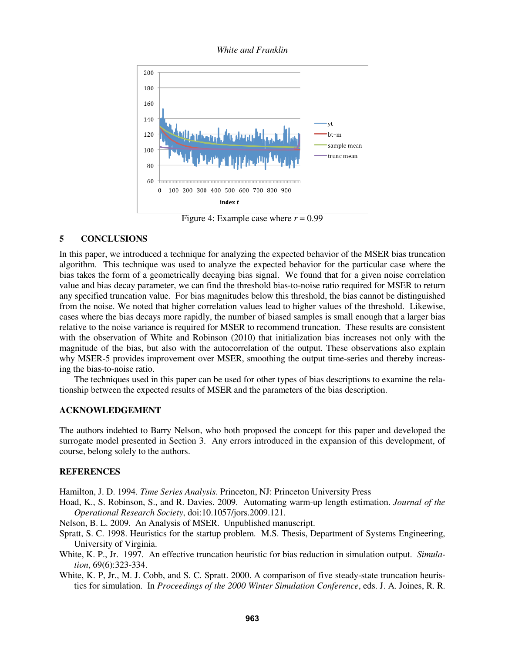

Figure 4: Example case where  $r = 0.99$ 

## **5 CONCLUSIONS**

In this paper, we introduced a technique for analyzing the expected behavior of the MSER bias truncation algorithm. This technique was used to analyze the expected behavior for the particular case where the bias takes the form of a geometrically decaying bias signal. We found that for a given noise correlation value and bias decay parameter, we can find the threshold bias-to-noise ratio required for MSER to return any specified truncation value. For bias magnitudes below this threshold, the bias cannot be distinguished from the noise. We noted that higher correlation values lead to higher values of the threshold. Likewise, cases where the bias decays more rapidly, the number of biased samples is small enough that a larger bias relative to the noise variance is required for MSER to recommend truncation. These results are consistent with the observation of White and Robinson (2010) that initialization bias increases not only with the magnitude of the bias, but also with the autocorrelation of the output. These observations also explain why MSER-5 provides improvement over MSER, smoothing the output time-series and thereby increasing the bias-to-noise ratio.

The techniques used in this paper can be used for other types of bias descriptions to examine the relationship between the expected results of MSER and the parameters of the bias description.

# **ACKNOWLEDGEMENT**

The authors indebted to Barry Nelson, who both proposed the concept for this paper and developed the surrogate model presented in Section 3. Any errors introduced in the expansion of this development, of course, belong solely to the authors.

### **REFERENCES**

Hamilton, J. D. 1994. *Time Series Analysis*. Princeton, NJ: Princeton University Press

- Hoad, K., S. Robinson, S., and R. Davies. 2009. Automating warm-up length estimation. *Journal of the Operational Research Society*, doi:10.1057/jors.2009.121.
- Nelson, B. L. 2009. An Analysis of MSER. Unpublished manuscript.
- Spratt, S. C. 1998. Heuristics for the startup problem. M.S. Thesis, Department of Systems Engineering, University of Virginia.
- White, K. P., Jr. 1997. An effective truncation heuristic for bias reduction in simulation output. *Simulation*, 69(6):323-334.
- White, K. P, Jr., M. J. Cobb, and S. C. Spratt. 2000. A comparison of five steady-state truncation heuristics for simulation. In *Proceedings of the 2000 Winter Simulation Conference*, eds. J. A. Joines, R. R.